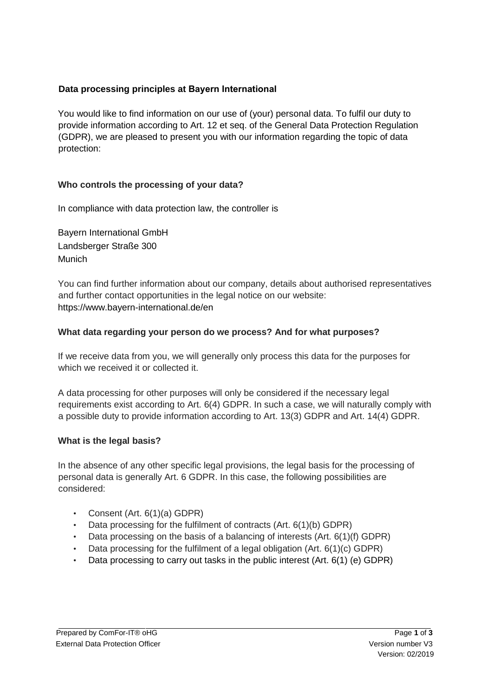# **Data processing principles at Bayern International**

You would like to find information on our use of (your) personal data. To fulfil our duty to provide information according to Art. 12 et seq. of the General Data Protection Regulation (GDPR), we are pleased to present you with our information regarding the topic of data protection:

# **Who controls the processing of your data?**

In compliance with data protection law, the controller is

Bayern International GmbH Landsberger Straße 300 Munich

You can find further information about our company, details about authorised representatives and further contact opportunities in the legal notice on our website: https://www.bayern-international.de/en

# **What data regarding your person do we process? And for what purposes?**

If we receive data from you, we will generally only process this data for the purposes for which we received it or collected it.

A data processing for other purposes will only be considered if the necessary legal requirements exist according to Art. 6(4) GDPR. In such a case, we will naturally comply with a possible duty to provide information according to Art. 13(3) GDPR and Art. 14(4) GDPR.

# **What is the legal basis?**

In the absence of any other specific legal provisions, the legal basis for the processing of personal data is generally Art. 6 GDPR. In this case, the following possibilities are considered:

- Consent (Art. 6(1)(a) GDPR)
- Data processing for the fulfilment of contracts (Art. 6(1)(b) GDPR)
- Data processing on the basis of a balancing of interests (Art.  $6(1)(f)$  GDPR)
- Data processing for the fulfilment of a legal obligation (Art.  $6(1)(c)$  GDPR)
- Data processing to carry out tasks in the public interest (Art. 6(1) (e) GDPR)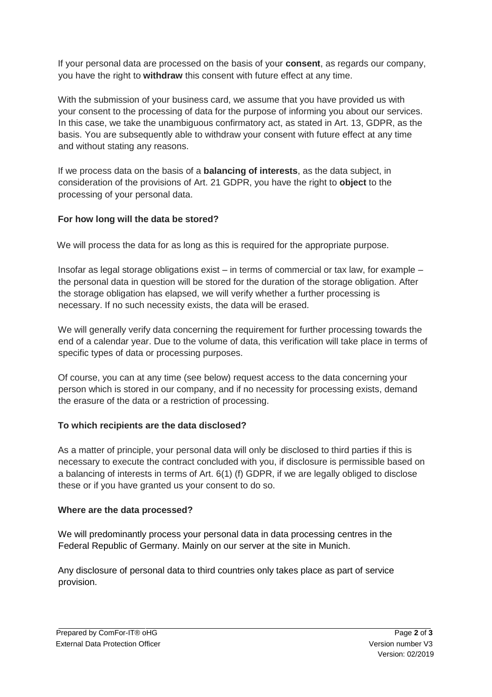If your personal data are processed on the basis of your **consent**, as regards our company, you have the right to **withdraw** this consent with future effect at any time.

With the submission of your business card, we assume that you have provided us with your consent to the processing of data for the purpose of informing you about our services. In this case, we take the unambiguous confirmatory act, as stated in Art. 13, GDPR, as the basis. You are subsequently able to withdraw your consent with future effect at any time and without stating any reasons.

If we process data on the basis of a **balancing of interests**, as the data subject, in consideration of the provisions of Art. 21 GDPR, you have the right to **object** to the processing of your personal data.

# **For how long will the data be stored?**

We will process the data for as long as this is required for the appropriate purpose.

Insofar as legal storage obligations exist – in terms of commercial or tax law, for example – the personal data in question will be stored for the duration of the storage obligation. After the storage obligation has elapsed, we will verify whether a further processing is necessary. If no such necessity exists, the data will be erased.

We will generally verify data concerning the requirement for further processing towards the end of a calendar year. Due to the volume of data, this verification will take place in terms of specific types of data or processing purposes.

Of course, you can at any time (see below) request access to the data concerning your person which is stored in our company, and if no necessity for processing exists, demand the erasure of the data or a restriction of processing.

# **To which recipients are the data disclosed?**

As a matter of principle, your personal data will only be disclosed to third parties if this is necessary to execute the contract concluded with you, if disclosure is permissible based on a balancing of interests in terms of Art. 6(1) (f) GDPR, if we are legally obliged to disclose these or if you have granted us your consent to do so.

# **Where are the data processed?**

We will predominantly process your personal data in data processing centres in the Federal Republic of Germany. Mainly on our server at the site in Munich.

Any disclosure of personal data to third countries only takes place as part of service provision.